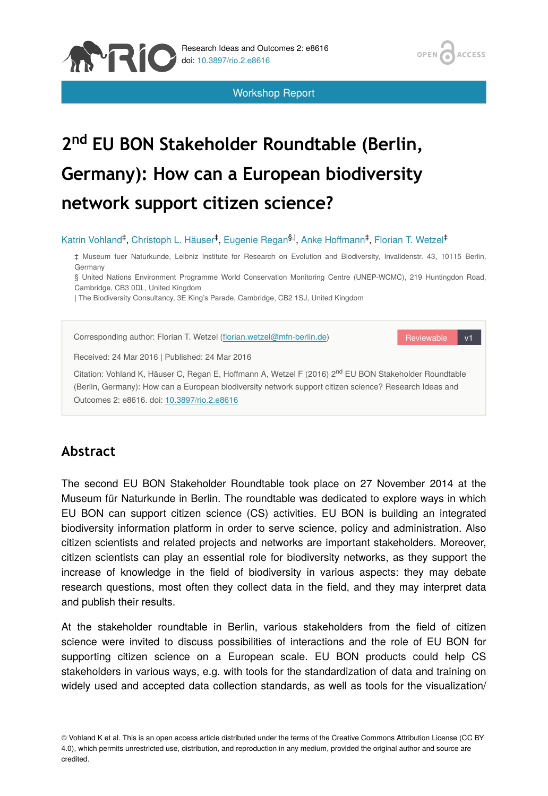

Workshop Report

OPEN

ACCESS

# 2<sup>nd</sup> EU BON Stakeholder Roundtable (Berlin, **Germany): How can a European biodiversity network support citizen science?**

#### Katrin Vohland<sup>‡</sup>, Christoph L. Häuser<sup>‡</sup>, Eugenie Regan<sup>§, I</sup>, Anke Hoffmann<sup>‡</sup>, Florian T. Wetzel<sup>‡</sup>

‡ Museum fuer Naturkunde, Leibniz Institute for Research on Evolution and Biodiversity, Invalidenstr. 43, 10115 Berlin, Germany

§ United Nations Environment Programme World Conservation Monitoring Centre (UNEP-WCMC), 219 Huntingdon Road, Cambridge, CB3 0DL, United Kingdom

| The Biodiversity Consultancy, 3E King's Parade, Cambridge, CB2 1SJ, United Kingdom



## **Abstract**

The second EU BON Stakeholder Roundtable took place on 27 November 2014 at the Museum für Naturkunde in Berlin. The roundtable was dedicated to explore ways in which EU BON can support citizen science (CS) activities. EU BON is building an integrated biodiversity information platform in order to serve science, policy and administration. Also citizen scientists and related projects and networks are important stakeholders. Moreover, citizen scientists can play an essential role for biodiversity networks, as they support the increase of knowledge in the field of biodiversity in various aspects: they may debate research questions, most often they collect data in the field, and they may interpret data and publish their results.

At the stakeholder roundtable in Berlin, various stakeholders from the field of citizen science were invited to discuss possibilities of interactions and the role of EU BON for supporting citizen science on a European scale. EU BON products could help CS stakeholders in various ways, e.g. with tools for the standardization of data and training on widely used and accepted data collection standards, as well as tools for the visualization/

© Vohland K et al. This is an open access article distributed under the terms of the Creative Commons Attribution License (CC BY 4.0), which permits unrestricted use, distribution, and reproduction in any medium, provided the original author and source are credited.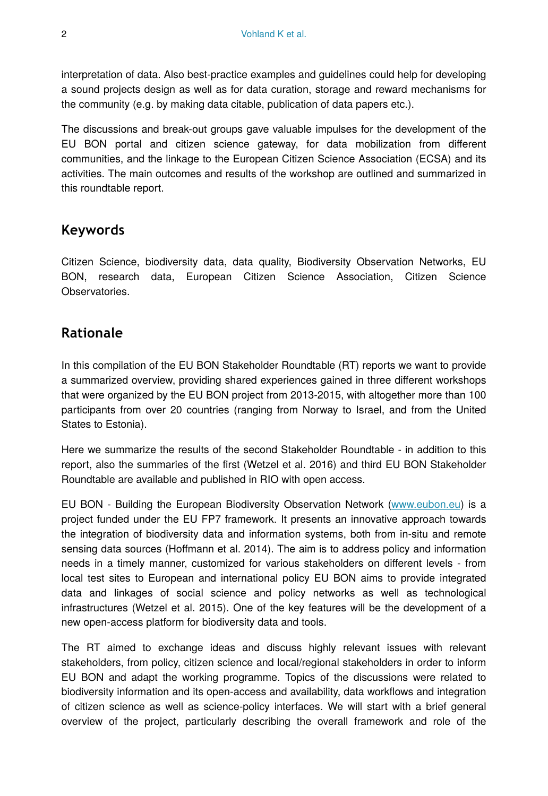interpretation of data. Also best-practice examples and guidelines could help for developing a sound projects design as well as for data curation, storage and reward mechanisms for the community (e.g. by making data citable, publication of data papers etc.).

The discussions and break-out groups gave valuable impulses for the development of the EU BON portal and citizen science gateway, for data mobilization from different communities, and the linkage to the European Citizen Science Association (ECSA) and its activities. The main outcomes and results of the workshop are outlined and summarized in this roundtable report.

# **Keywords**

Citizen Science, biodiversity data, data quality, Biodiversity Observation Networks, EU BON, research data, European Citizen Science Association, Citizen Science Observatories.

# **Rationale**

In this compilation of the EU BON Stakeholder Roundtable (RT) reports we want to provide a summarized overview, providing shared experiences gained in three different workshops that were organized by the EU BON project from 2013-2015, with altogether more than 100 participants from over 20 countries (ranging from Norway to Israel, and from the United States to Estonia).

Here we summarize the results of the second Stakeholder Roundtable - in addition to this report, also the summaries of the first (Wetzel et al. 2016) and third EU BON Stakeholder Roundtable are available and published in RIO with open access.

EU BON - Building the European Biodiversity Observation Network [\(www.eubon.eu](http://www.eubon.eu)) is a project funded under the EU FP7 framework. It presents an innovative approach towards the integration of biodiversity data and information systems, both from in-situ and remote sensing data sources (Hoffmann et al. 2014). The aim is to address policy and information needs in a timely manner, customized for various stakeholders on different levels - from local test sites to European and international policy EU BON aims to provide integrated data and linkages of social science and policy networks as well as technological infrastructures (Wetzel et al. 2015). One of the key features will be the development of a new open-access platform for biodiversity data and tools.

The RT aimed to exchange ideas and discuss highly relevant issues with relevant stakeholders, from policy, citizen science and local/regional stakeholders in order to inform EU BON and adapt the working programme. Topics of the discussions were related to biodiversity information and its open-access and availability, data workflows and integration of citizen science as well as science-policy interfaces. We will start with a brief general overview of the project, particularly describing the overall framework and role of the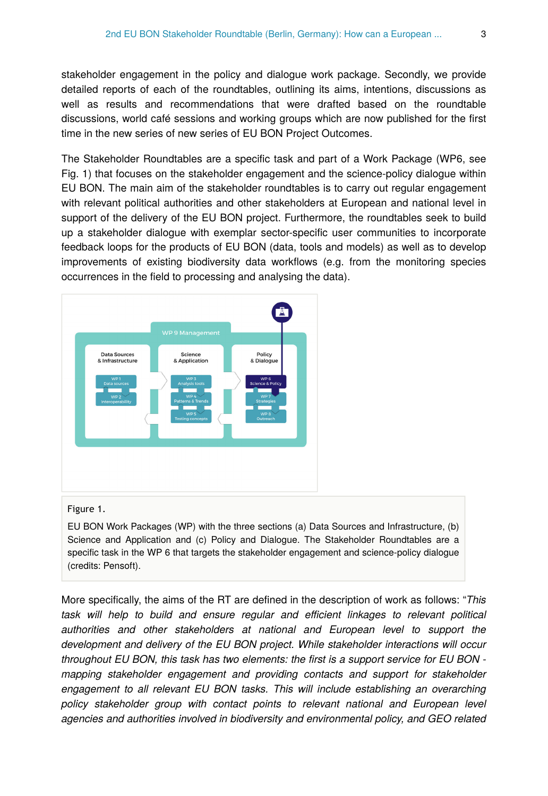stakeholder engagement in the policy and dialogue work package. Secondly, we provide detailed reports of each of the roundtables, outlining its aims, intentions, discussions as well as results and recommendations that were drafted based on the roundtable discussions, world café sessions and working groups which are now published for the first time in the new series of new series of EU BON Project Outcomes.

The Stakeholder Roundtables are a specific task and part of a Work Package (WP6, see Fig. 1) that focuses on the stakeholder engagement and the science-policy dialogue within EU BON. The main aim of the stakeholder roundtables is to carry out regular engagement with relevant political authorities and other stakeholders at European and national level in support of the delivery of the EU BON project. Furthermore, the roundtables seek to build up a stakeholder dialogue with exemplar sector-specific user communities to incorporate feedback loops for the products of EU BON (data, tools and models) as well as to develop improvements of existing biodiversity data workflows (e.g. from the monitoring species occurrences in the field to processing and analysing the data).



#### Figure 1.

EU BON Work Packages (WP) with the three sections (a) Data Sources and Infrastructure, (b) Science and Application and (c) Policy and Dialogue. The Stakeholder Roundtables are a specific task in the WP 6 that targets the stakeholder engagement and science-policy dialogue (credits: Pensoft).

More specifically, the aims of the RT are defined in the description of work as follows: "*This task will help to build and ensure regular and efficient linkages to relevant political authorities and other stakeholders at national and European level to support the development and delivery of the EU BON project. While stakeholder interactions will occur throughout EU BON, this task has two elements: the first is a support service for EU BON mapping stakeholder engagement and providing contacts and support for stakeholder engagement to all relevant EU BON tasks. This will include establishing an overarching policy stakeholder group with contact points to relevant national and European level agencies and authorities involved in biodiversity and environmental policy, and GEO related*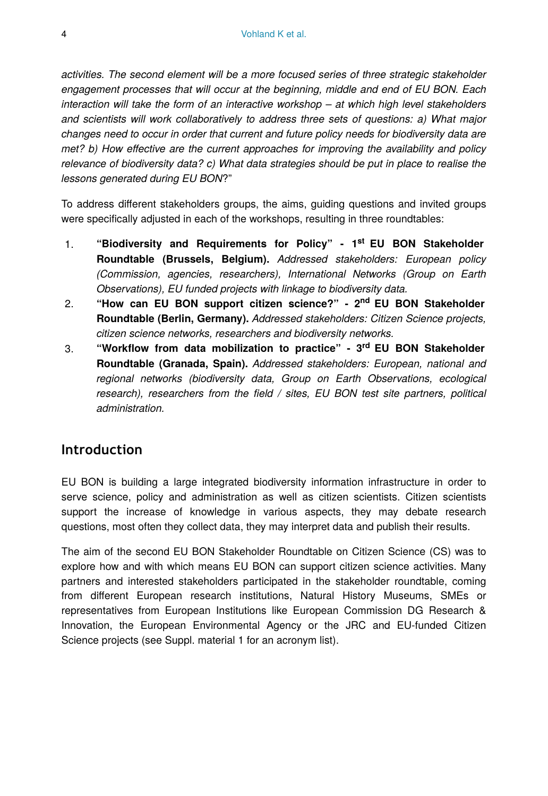*activities. The second element will be a more focused series of three strategic stakeholder engagement processes that will occur at the beginning, middle and end of EU BON. Each interaction will take the form of an interactive workshop – at which high level stakeholders and scientists will work collaboratively to address three sets of questions: a) What major changes need to occur in order that current and future policy needs for biodiversity data are met? b) How effective are the current approaches for improving the availability and policy relevance of biodiversity data? c) What data strategies should be put in place to realise the lessons generated during EU BON*?"

To address different stakeholders groups, the aims, guiding questions and invited groups were specifically adjusted in each of the workshops, resulting in three roundtables:

- 1. "Biodiversity and Requirements for Policy" 1<sup>st</sup> EU BON Stakeholder **Roundtable (Brussels, Belgium).** *Addressed stakeholders: European policy (Commission, agencies, researchers), International Networks (Group on Earth Observations), EU funded projects with linkage to biodiversity data.*
- 2. **"How can EU BON support citizen science?" 2 EU BON Stakeholder nd Roundtable (Berlin, Germany).** *Addressed stakeholders: Citizen Science projects, citizen science networks, researchers and biodiversity networks.*
- 3. **"Workflow from data mobilization to practice" 3 EU BON Stakeholder rd Roundtable (Granada, Spain).** *Addressed stakeholders: European, national and regional networks (biodiversity data, Group on Earth Observations, ecological research), researchers from the field / sites, EU BON test site partners, political administration.*

## **Introduction**

EU BON is building a large integrated biodiversity information infrastructure in order to serve science, policy and administration as well as citizen scientists. Citizen scientists support the increase of knowledge in various aspects, they may debate research questions, most often they collect data, they may interpret data and publish their results.

The aim of the second EU BON Stakeholder Roundtable on Citizen Science (CS) was to explore how and with which means EU BON can support citizen science activities. Many partners and interested stakeholders participated in the stakeholder roundtable, coming from different European research institutions, Natural History Museums, SMEs or representatives from European Institutions like European Commission DG Research & Innovation, the European Environmental Agency or the JRC and EU-funded Citizen Science projects (see Suppl. material 1 for an acronym list).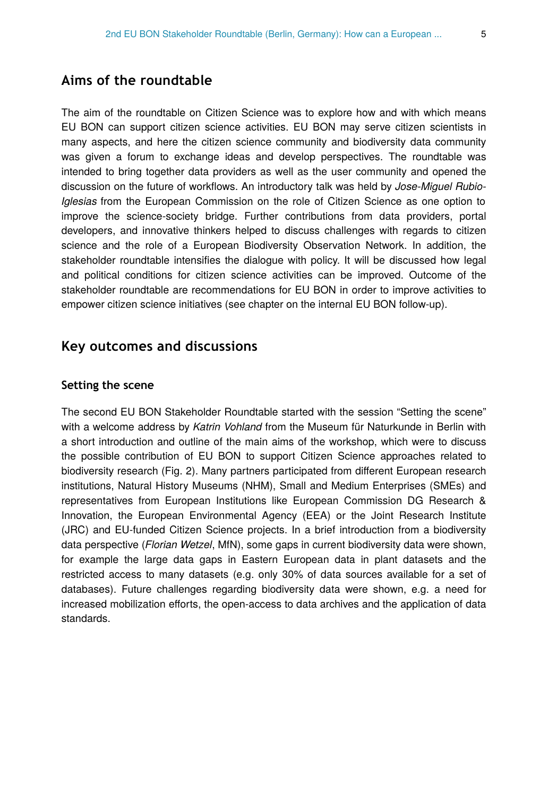# **Aims of the roundtable**

The aim of the roundtable on Citizen Science was to explore how and with which means EU BON can support citizen science activities. EU BON may serve citizen scientists in many aspects, and here the citizen science community and biodiversity data community was given a forum to exchange ideas and develop perspectives. The roundtable was intended to bring together data providers as well as the user community and opened the discussion on the future of workflows. An introductory talk was held by *Jose-Miguel Rubio-Iglesias* from the European Commission on the role of Citizen Science as one option to improve the science-society bridge. Further contributions from data providers, portal developers, and innovative thinkers helped to discuss challenges with regards to citizen science and the role of a European Biodiversity Observation Network. In addition, the stakeholder roundtable intensifies the dialogue with policy. It will be discussed how legal and political conditions for citizen science activities can be improved. Outcome of the stakeholder roundtable are recommendations for EU BON in order to improve activities to empower citizen science initiatives (see chapter on the internal EU BON follow-up).

## **Key outcomes and discussions**

#### **Setting the scene**

The second EU BON Stakeholder Roundtable started with the session "Setting the scene" with a welcome address by *Katrin Vohland* from the Museum für Naturkunde in Berlin with a short introduction and outline of the main aims of the workshop, which were to discuss the possible contribution of EU BON to support Citizen Science approaches related to biodiversity research (Fig. 2). Many partners participated from different European research institutions, Natural History Museums (NHM), Small and Medium Enterprises (SMEs) and representatives from European Institutions like European Commission DG Research & Innovation, the European Environmental Agency (EEA) or the Joint Research Institute (JRC) and EU-funded Citizen Science projects. In a brief introduction from a biodiversity data perspective (*Florian Wetzel*, MfN), some gaps in current biodiversity data were shown, for example the large data gaps in Eastern European data in plant datasets and the restricted access to many datasets (e.g. only 30% of data sources available for a set of databases). Future challenges regarding biodiversity data were shown, e.g. a need for increased mobilization efforts, the open-access to data archives and the application of data standards.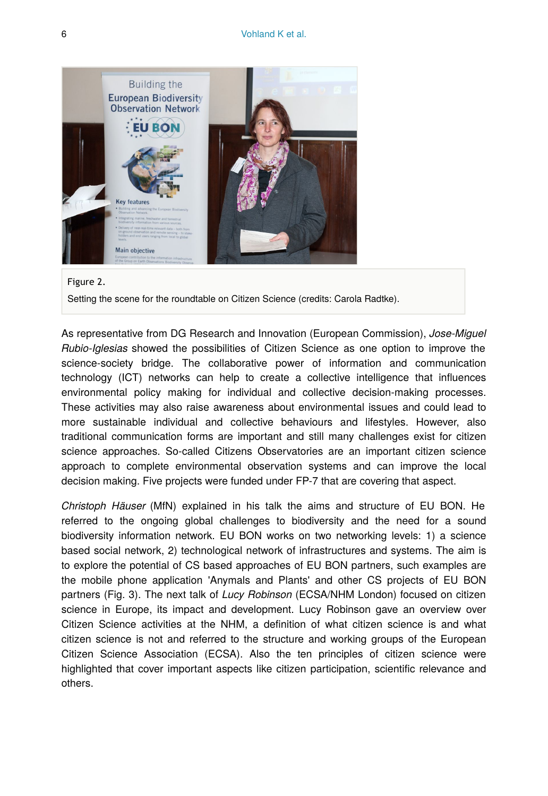

#### Figure 2.

Setting the scene for the roundtable on Citizen Science (credits: Carola Radtke).

As representative from DG Research and Innovation (European Commission), *Jose-Miguel Rubio-Iglesias* showed the possibilities of Citizen Science as one option to improve the science-society bridge. The collaborative power of information and communication technology (ICT) networks can help to create a collective intelligence that influences environmental policy making for individual and collective decision-making processes. These activities may also raise awareness about environmental issues and could lead to more sustainable individual and collective behaviours and lifestyles. However, also traditional communication forms are important and still many challenges exist for citizen science approaches. So-called Citizens Observatories are an important citizen science approach to complete environmental observation systems and can improve the local decision making. Five projects were funded under FP-7 that are covering that aspect.

*Christoph Häuser* (MfN) explained in his talk the aims and structure of EU BON. He referred to the ongoing global challenges to biodiversity and the need for a sound biodiversity information network. EU BON works on two networking levels: 1) a science based social network, 2) technological network of infrastructures and systems. The aim is to explore the potential of CS based approaches of EU BON partners, such examples are the mobile phone application 'Anymals and Plants' and other CS projects of EU BON partners (Fig. 3). The next talk of *Lucy Robinson* (ECSA/NHM London) focused on citizen science in Europe, its impact and development. Lucy Robinson gave an overview over Citizen Science activities at the NHM, a definition of what citizen science is and what citizen science is not and referred to the structure and working groups of the European Citizen Science Association (ECSA). Also the ten principles of citizen science were highlighted that cover important aspects like citizen participation, scientific relevance and others.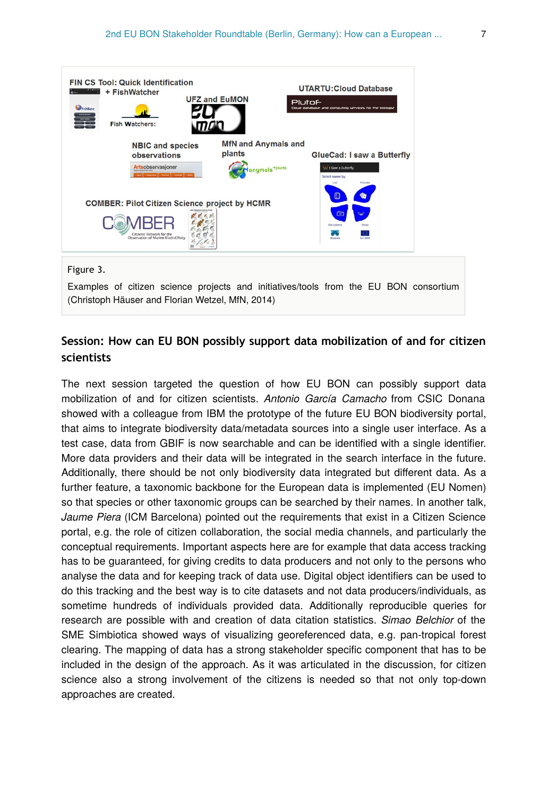

## **Session: How can EU BON possibly support data mobilization of and for citizen scientists**

The next session targeted the question of how EU BON can possibly support data mobilization of and for citizen scientists. *Antonio García Camacho* from CSIC Donana showed with a colleague from IBM the prototype of the future EU BON biodiversity portal, that aims to integrate biodiversity data/metadata sources into a single user interface. As a test case, data from GBIF is now searchable and can be identified with a single identifier. More data providers and their data will be integrated in the search interface in the future. Additionally, there should be not only biodiversity data integrated but different data. As a further feature, a taxonomic backbone for the European data is implemented (EU Nomen) so that species or other taxonomic groups can be searched by their names. In another talk, *Jaume Piera* (ICM Barcelona) pointed out the requirements that exist in a Citizen Science portal, e.g. the role of citizen collaboration, the social media channels, and particularly the conceptual requirements. Important aspects here are for example that data access tracking has to be guaranteed, for giving credits to data producers and not only to the persons who analyse the data and for keeping track of data use. Digital object identifiers can be used to do this tracking and the best way is to cite datasets and not data producers/individuals, as sometime hundreds of individuals provided data. Additionally reproducible queries for research are possible with and creation of data citation statistics. *Simao Belchior* of the SME Simbiotica showed ways of visualizing georeferenced data, e.g. pan-tropical forest clearing. The mapping of data has a strong stakeholder specific component that has to be included in the design of the approach. As it was articulated in the discussion, for citizen science also a strong involvement of the citizens is needed so that not only top-down approaches are created.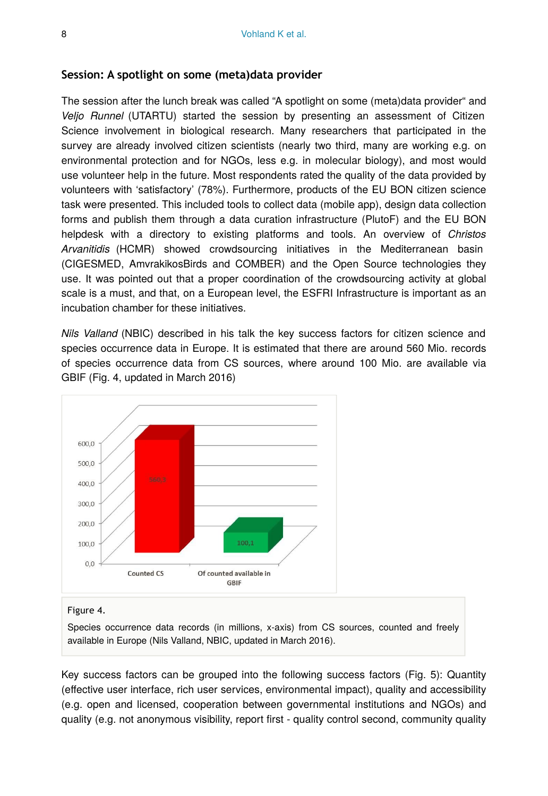#### **Session: A spotlight on some (meta)data provider**

The session after the lunch break was called "A spotlight on some (meta)data provider" and *Veljo Runnel* (UTARTU) started the session by presenting an assessment of Citizen Science involvement in biological research. Many researchers that participated in the survey are already involved citizen scientists (nearly two third, many are working e.g. on environmental protection and for NGOs, less e.g. in molecular biology), and most would use volunteer help in the future. Most respondents rated the quality of the data provided by volunteers with 'satisfactory' (78%). Furthermore, products of the EU BON citizen science task were presented. This included tools to collect data (mobile app), design data collection forms and publish them through a data curation infrastructure (PlutoF) and the EU BON helpdesk with a directory to existing platforms and tools. An overview of *Christos Arvanitidis* (HCMR) showed crowdsourcing initiatives in the Mediterranean basin (CIGESMED, AmvrakikosBirds and COMBER) and the Open Source technologies they use. It was pointed out that a proper coordination of the crowdsourcing activity at global scale is a must, and that, on a European level, the ESFRI Infrastructure is important as an incubation chamber for these initiatives.

*Nils Valland* (NBIC) described in his talk the key success factors for citizen science and species occurrence data in Europe. It is estimated that there are around 560 Mio. records of species occurrence data from CS sources, where around 100 Mio. are available via GBIF (Fig. 4, updated in March 2016)



#### Figure 4.

Species occurrence data records (in millions, x-axis) from CS sources, counted and freely available in Europe (Nils Valland, NBIC, updated in March 2016).

Key success factors can be grouped into the following success factors (Fig. 5): Quantity (effective user interface, rich user services, environmental impact), quality and accessibility (e.g. open and licensed, cooperation between governmental institutions and NGOs) and quality (e.g. not anonymous visibility, report first - quality control second, community quality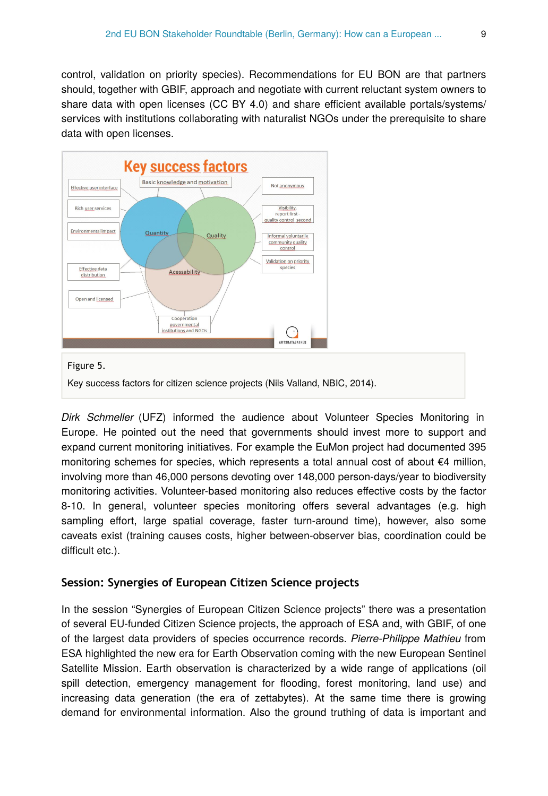control, validation on priority species). Recommendations for EU BON are that partners should, together with GBIF, approach and negotiate with current reluctant system owners to share data with open licenses (CC BY 4.0) and share efficient available portals/systems/ services with institutions collaborating with naturalist NGOs under the prerequisite to share data with open licenses.



*Dirk Schmeller* (UFZ) informed the audience about Volunteer Species Monitoring in Europe. He pointed out the need that governments should invest more to support and expand current monitoring initiatives. For example the EuMon project had documented 395 monitoring schemes for species, which represents a total annual cost of about €4 million, involving more than 46,000 persons devoting over 148,000 person-days/year to biodiversity monitoring activities. Volunteer-based monitoring also reduces effective costs by the factor 8-10. In general, volunteer species monitoring offers several advantages (e.g. high sampling effort, large spatial coverage, faster turn-around time), however, also some caveats exist (training causes costs, higher between-observer bias, coordination could be difficult etc.).

### **Session: Synergies of European Citizen Science projects**

In the session "Synergies of European Citizen Science projects" there was a presentation of several EU-funded Citizen Science projects, the approach of ESA and, with GBIF, of one of the largest data providers of species occurrence records. *Pierre-Philippe Mathieu* from ESA highlighted the new era for Earth Observation coming with the new European Sentinel Satellite Mission. Earth observation is characterized by a wide range of applications (oil spill detection, emergency management for flooding, forest monitoring, land use) and increasing data generation (the era of zettabytes). At the same time there is growing demand for environmental information. Also the ground truthing of data is important and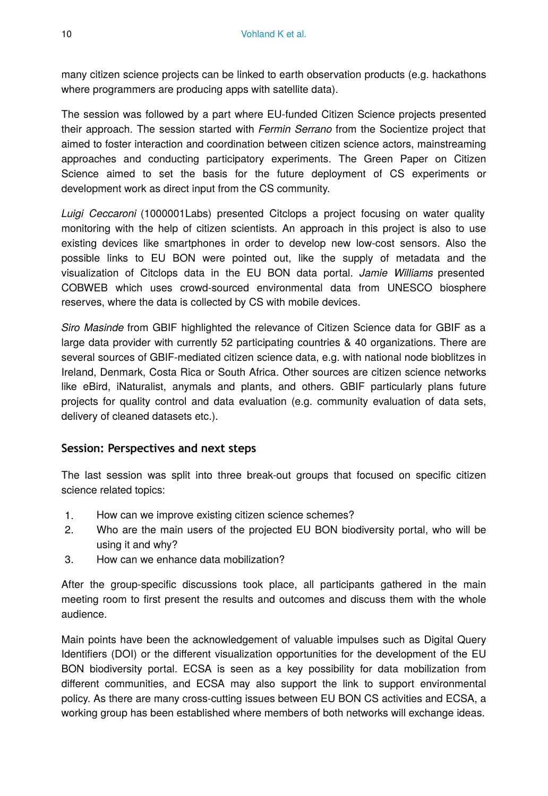many citizen science projects can be linked to earth observation products (e.g. hackathons where programmers are producing apps with satellite data).

The session was followed by a part where EU-funded Citizen Science projects presented their approach. The session started with *Fermin Serrano* from the Socientize project that aimed to foster interaction and coordination between citizen science actors, mainstreaming approaches and conducting participatory experiments. The Green Paper on Citizen Science aimed to set the basis for the future deployment of CS experiments or development work as direct input from the CS community.

*Luigi Ceccaroni* (1000001Labs) presented Citclops a project focusing on water quality monitoring with the help of citizen scientists. An approach in this project is also to use existing devices like smartphones in order to develop new low-cost sensors. Also the possible links to EU BON were pointed out, like the supply of metadata and the visualization of Citclops data in the EU BON data portal. *Jamie Williams* presented COBWEB which uses crowd-sourced environmental data from UNESCO biosphere reserves, where the data is collected by CS with mobile devices.

*Siro Masinde* from GBIF highlighted the relevance of Citizen Science data for GBIF as a large data provider with currently 52 participating countries & 40 organizations. There are several sources of GBIF-mediated citizen science data, e.g. with national node bioblitzes in Ireland, Denmark, Costa Rica or South Africa. Other sources are citizen science networks like eBird, iNaturalist, anymals and plants, and others. GBIF particularly plans future projects for quality control and data evaluation (e.g. community evaluation of data sets, delivery of cleaned datasets etc.).

### **Session: Perspectives and next steps**

The last session was split into three break-out groups that focused on specific citizen science related topics:

- 1. How can we improve existing citizen science schemes?
- 2. Who are the main users of the projected EU BON biodiversity portal, who will be using it and why?
- 3. How can we enhance data mobilization?

After the group-specific discussions took place, all participants gathered in the main meeting room to first present the results and outcomes and discuss them with the whole audience.

Main points have been the acknowledgement of valuable impulses such as Digital Query Identifiers (DOI) or the different visualization opportunities for the development of the EU BON biodiversity portal. ECSA is seen as a key possibility for data mobilization from different communities, and ECSA may also support the link to support environmental policy. As there are many cross-cutting issues between EU BON CS activities and ECSA, a working group has been established where members of both networks will exchange ideas.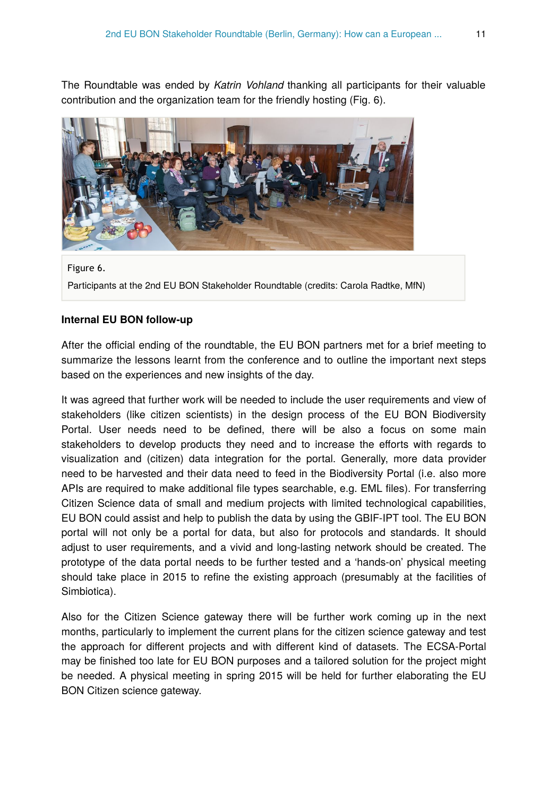The Roundtable was ended by *Katrin Vohland* thanking all participants for their valuable contribution and the organization team for the friendly hosting (Fig. 6).



Figure 6. Participants at the 2nd EU BON Stakeholder Roundtable (credits: Carola Radtke, MfN)

#### **Internal EU BON follow-up**

After the official ending of the roundtable, the EU BON partners met for a brief meeting to summarize the lessons learnt from the conference and to outline the important next steps based on the experiences and new insights of the day.

It was agreed that further work will be needed to include the user requirements and view of stakeholders (like citizen scientists) in the design process of the EU BON Biodiversity Portal. User needs need to be defined, there will be also a focus on some main stakeholders to develop products they need and to increase the efforts with regards to visualization and (citizen) data integration for the portal. Generally, more data provider need to be harvested and their data need to feed in the Biodiversity Portal (i.e. also more APIs are required to make additional file types searchable, e.g. EML files). For transferring Citizen Science data of small and medium projects with limited technological capabilities, EU BON could assist and help to publish the data by using the GBIF-IPT tool. The EU BON portal will not only be a portal for data, but also for protocols and standards. It should adjust to user requirements, and a vivid and long-lasting network should be created. The prototype of the data portal needs to be further tested and a 'hands-on' physical meeting should take place in 2015 to refine the existing approach (presumably at the facilities of Simbiotica).

Also for the Citizen Science gateway there will be further work coming up in the next months, particularly to implement the current plans for the citizen science gateway and test the approach for different projects and with different kind of datasets. The ECSA-Portal may be finished too late for EU BON purposes and a tailored solution for the project might be needed. A physical meeting in spring 2015 will be held for further elaborating the EU BON Citizen science gateway.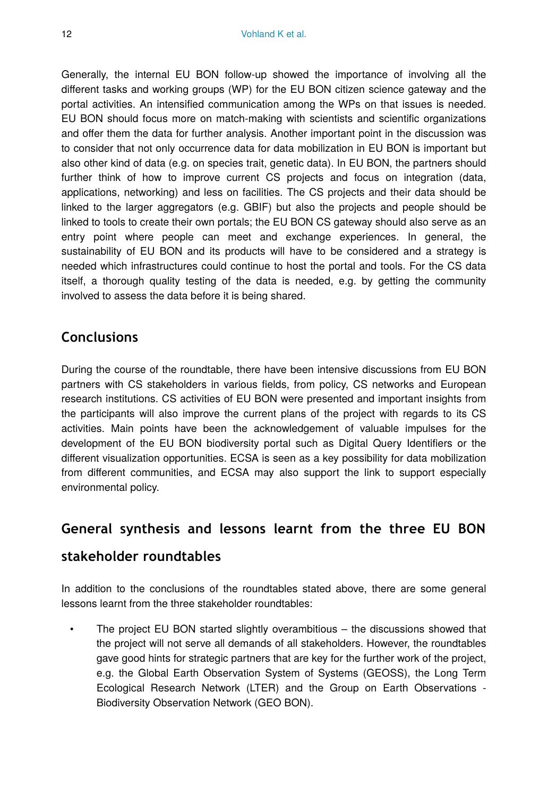Generally, the internal EU BON follow-up showed the importance of involving all the different tasks and working groups (WP) for the EU BON citizen science gateway and the portal activities. An intensified communication among the WPs on that issues is needed. EU BON should focus more on match-making with scientists and scientific organizations and offer them the data for further analysis. Another important point in the discussion was to consider that not only occurrence data for data mobilization in EU BON is important but also other kind of data (e.g. on species trait, genetic data). In EU BON, the partners should further think of how to improve current CS projects and focus on integration (data, applications, networking) and less on facilities. The CS projects and their data should be linked to the larger aggregators (e.g. GBIF) but also the projects and people should be linked to tools to create their own portals; the EU BON CS gateway should also serve as an entry point where people can meet and exchange experiences. In general, the sustainability of EU BON and its products will have to be considered and a strategy is needed which infrastructures could continue to host the portal and tools. For the CS data itself, a thorough quality testing of the data is needed, e.g. by getting the community involved to assess the data before it is being shared.

# **Conclusions**

During the course of the roundtable, there have been intensive discussions from EU BON partners with CS stakeholders in various fields, from policy, CS networks and European research institutions. CS activities of EU BON were presented and important insights from the participants will also improve the current plans of the project with regards to its CS activities. Main points have been the acknowledgement of valuable impulses for the development of the EU BON biodiversity portal such as Digital Query Identifiers or the different visualization opportunities. ECSA is seen as a key possibility for data mobilization from different communities, and ECSA may also support the link to support especially environmental policy.

# **General synthesis and lessons learnt from the three EU BON**

# **stakeholder roundtables**

In addition to the conclusions of the roundtables stated above, there are some general lessons learnt from the three stakeholder roundtables:

The project EU BON started slightly overambitious  $-$  the discussions showed that the project will not serve all demands of all stakeholders. However, the roundtables gave good hints for strategic partners that are key for the further work of the project, e.g. the Global Earth Observation System of Systems (GEOSS), the Long Term Ecological Research Network (LTER) and the Group on Earth Observations - Biodiversity Observation Network (GEO BON).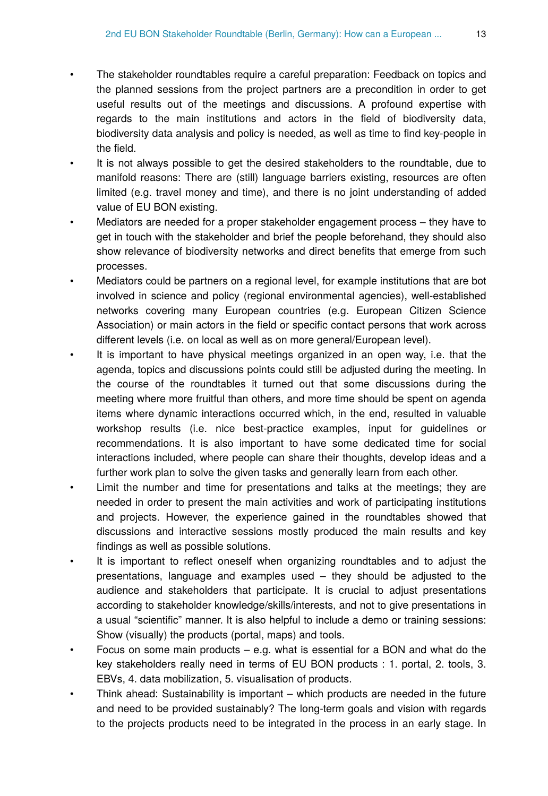- The stakeholder roundtables require a careful preparation: Feedback on topics and the planned sessions from the project partners are a precondition in order to get useful results out of the meetings and discussions. A profound expertise with regards to the main institutions and actors in the field of biodiversity data, biodiversity data analysis and policy is needed, as well as time to find key-people in the field.
- It is not always possible to get the desired stakeholders to the roundtable, due to manifold reasons: There are (still) language barriers existing, resources are often limited (e.g. travel money and time), and there is no joint understanding of added value of EU BON existing.
- Mediators are needed for a proper stakeholder engagement process they have to get in touch with the stakeholder and brief the people beforehand, they should also show relevance of biodiversity networks and direct benefits that emerge from such processes.
- Mediators could be partners on a regional level, for example institutions that are bot involved in science and policy (regional environmental agencies), well-established networks covering many European countries (e.g. European Citizen Science Association) or main actors in the field or specific contact persons that work across different levels (i.e. on local as well as on more general/European level).
- It is important to have physical meetings organized in an open way, i.e. that the agenda, topics and discussions points could still be adjusted during the meeting. In the course of the roundtables it turned out that some discussions during the meeting where more fruitful than others, and more time should be spent on agenda items where dynamic interactions occurred which, in the end, resulted in valuable workshop results (i.e. nice best-practice examples, input for guidelines or recommendations. It is also important to have some dedicated time for social interactions included, where people can share their thoughts, develop ideas and a further work plan to solve the given tasks and generally learn from each other.
- Limit the number and time for presentations and talks at the meetings; they are needed in order to present the main activities and work of participating institutions and projects. However, the experience gained in the roundtables showed that discussions and interactive sessions mostly produced the main results and key findings as well as possible solutions.
- It is important to reflect oneself when organizing roundtables and to adjust the presentations, language and examples used – they should be adjusted to the audience and stakeholders that participate. It is crucial to adjust presentations according to stakeholder knowledge/skills/interests, and not to give presentations in a usual "scientific" manner. It is also helpful to include a demo or training sessions: Show (visually) the products (portal, maps) and tools.
- Focus on some main products  $-$  e.g. what is essential for a BON and what do the key stakeholders really need in terms of EU BON products : 1. portal, 2. tools, 3. EBVs, 4. data mobilization, 5. visualisation of products.
- Think ahead: Sustainability is important which products are needed in the future and need to be provided sustainably? The long-term goals and vision with regards to the projects products need to be integrated in the process in an early stage. In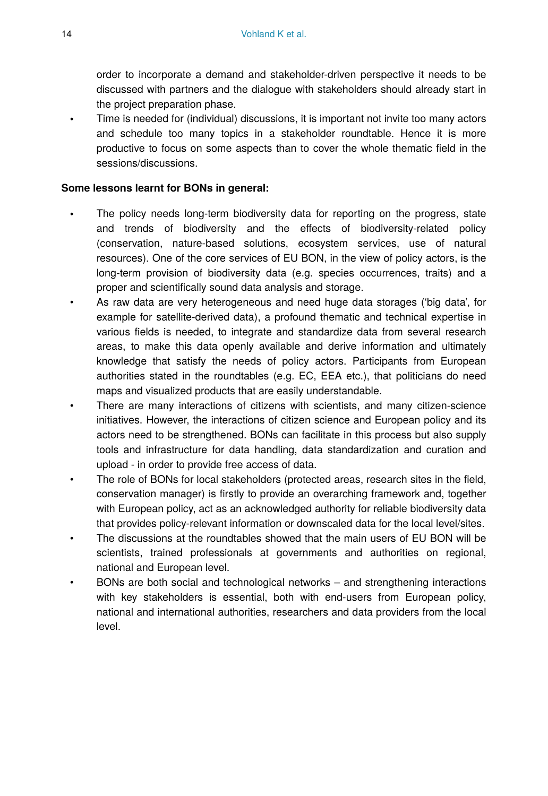order to incorporate a demand and stakeholder-driven perspective it needs to be discussed with partners and the dialogue with stakeholders should already start in the project preparation phase.

• Time is needed for (individual) discussions, it is important not invite too many actors and schedule too many topics in a stakeholder roundtable. Hence it is more productive to focus on some aspects than to cover the whole thematic field in the sessions/discussions.

#### **Some lessons learnt for BONs in general:**

- The policy needs long-term biodiversity data for reporting on the progress, state and trends of biodiversity and the effects of biodiversity-related policy (conservation, nature-based solutions, ecosystem services, use of natural resources). One of the core services of EU BON, in the view of policy actors, is the long-term provision of biodiversity data (e.g. species occurrences, traits) and a proper and scientifically sound data analysis and storage.
- As raw data are very heterogeneous and need huge data storages ('big data', for example for satellite-derived data), a profound thematic and technical expertise in various fields is needed, to integrate and standardize data from several research areas, to make this data openly available and derive information and ultimately knowledge that satisfy the needs of policy actors. Participants from European authorities stated in the roundtables (e.g. EC, EEA etc.), that politicians do need maps and visualized products that are easily understandable.
- There are many interactions of citizens with scientists, and many citizen-science initiatives. However, the interactions of citizen science and European policy and its actors need to be strengthened. BONs can facilitate in this process but also supply tools and infrastructure for data handling, data standardization and curation and upload - in order to provide free access of data.
- The role of BONs for local stakeholders (protected areas, research sites in the field, conservation manager) is firstly to provide an overarching framework and, together with European policy, act as an acknowledged authority for reliable biodiversity data that provides policy-relevant information or downscaled data for the local level/sites.
- The discussions at the roundtables showed that the main users of EU BON will be scientists, trained professionals at governments and authorities on regional, national and European level.
- BONs are both social and technological networks and strengthening interactions with key stakeholders is essential, both with end-users from European policy, national and international authorities, researchers and data providers from the local level.